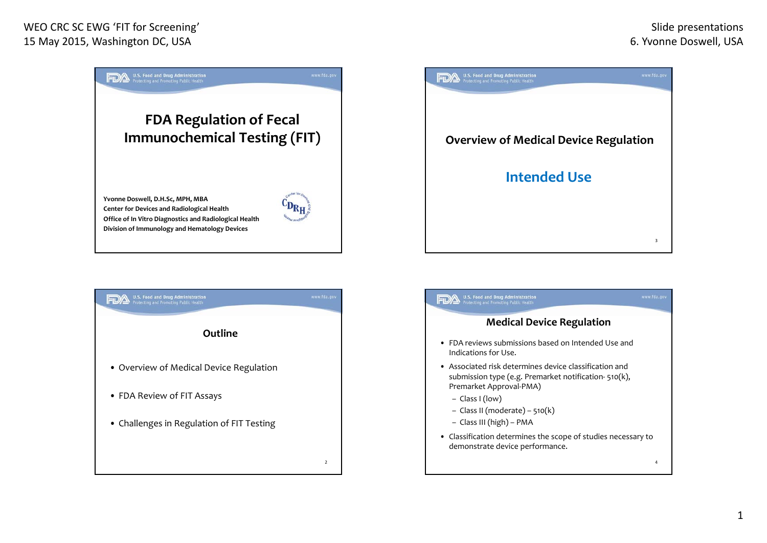

**Division of Immunology and Hematology Devices**





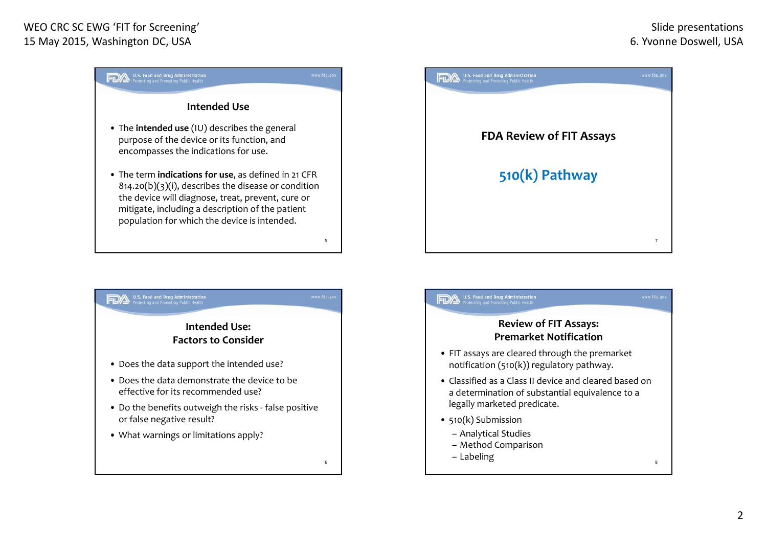





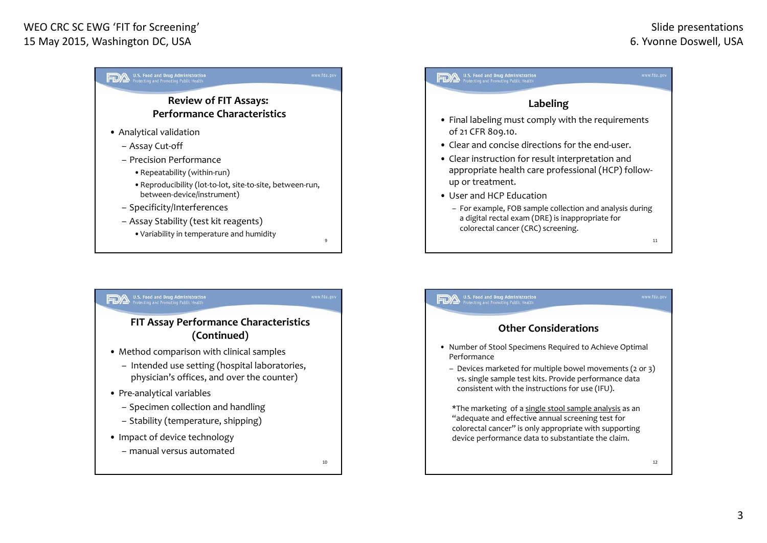## WEO CRC SC EWG 'FIT for Screening' 15 May 2015, Washington DC, USA





– manual versus automated

10

## U.S. Food and Drug Administration<br>Protecting and Promoting Public Health **Other Considerations**• Number of Stool Specimens Required to Achieve Optimal Performance– Devices marketed for multiple bowel movements (2 or 3) vs. single sample test kits. Provide performance data consistent with the instructions for use (IFU). \*The marketing of <sup>a</sup> single stool sample analysis as an "adequate and effective annual screening test for colorectal cancer" is only appropriate with supporting device performance data to substantiate the claim. 12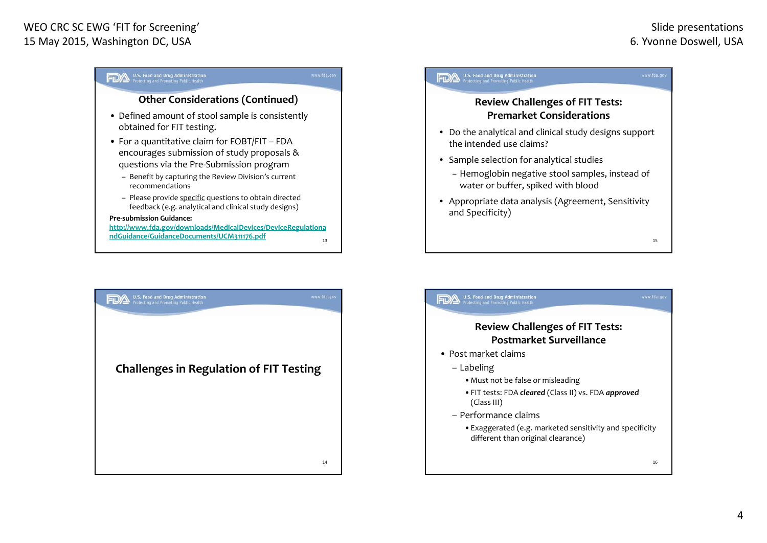15